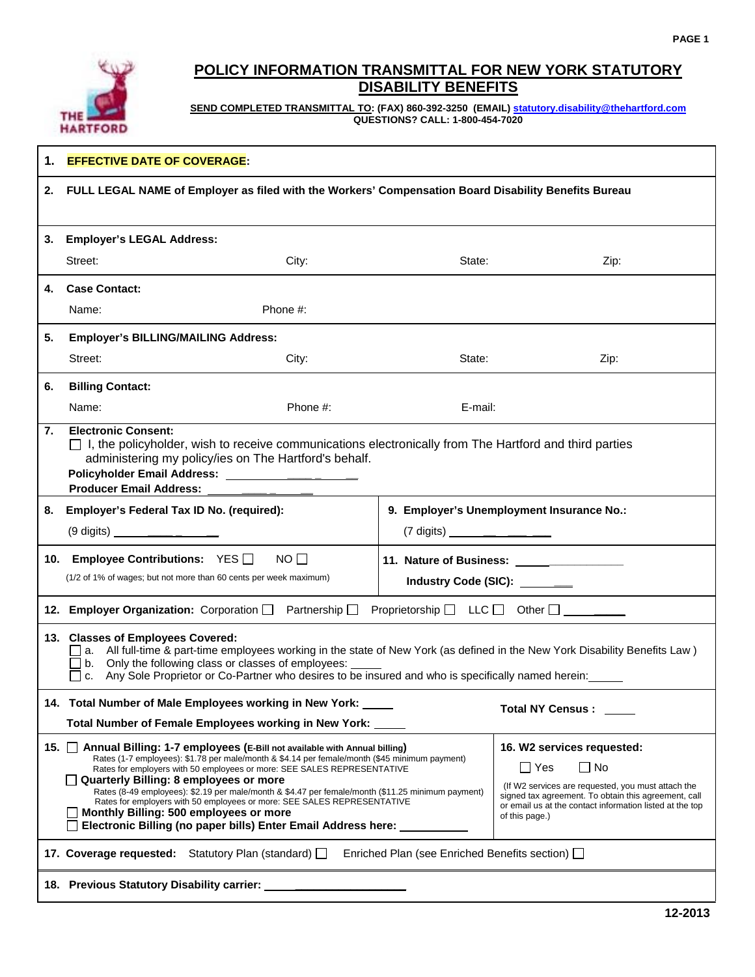

# **POLICY INFORMATION TRANSMITTAL FOR NEW YORK STATUTORY DISABILITY BENEFITS**

**SEND COMPLETED TRANSMITTAL TO: (FAX) 860-392-3250 (EMAIL) statutory.disability@thehartford.com QUESTIONS? CALL: 1-800-454-7020** 

| 1. | <b>EFFECTIVE DATE OF COVERAGE:</b>                                                                                                                                                                                                                                                                                                                                                                                                                                                                                                                                                                                                                   |          |                                                                                                                                                                                                      |      |  |
|----|------------------------------------------------------------------------------------------------------------------------------------------------------------------------------------------------------------------------------------------------------------------------------------------------------------------------------------------------------------------------------------------------------------------------------------------------------------------------------------------------------------------------------------------------------------------------------------------------------------------------------------------------------|----------|------------------------------------------------------------------------------------------------------------------------------------------------------------------------------------------------------|------|--|
| 2. | FULL LEGAL NAME of Employer as filed with the Workers' Compensation Board Disability Benefits Bureau                                                                                                                                                                                                                                                                                                                                                                                                                                                                                                                                                 |          |                                                                                                                                                                                                      |      |  |
| 3. | <b>Employer's LEGAL Address:</b>                                                                                                                                                                                                                                                                                                                                                                                                                                                                                                                                                                                                                     |          |                                                                                                                                                                                                      |      |  |
|    | Street:                                                                                                                                                                                                                                                                                                                                                                                                                                                                                                                                                                                                                                              | City:    | State:                                                                                                                                                                                               | Zip: |  |
| 4. | <b>Case Contact:</b>                                                                                                                                                                                                                                                                                                                                                                                                                                                                                                                                                                                                                                 |          |                                                                                                                                                                                                      |      |  |
|    | Name:<br>Phone #:                                                                                                                                                                                                                                                                                                                                                                                                                                                                                                                                                                                                                                    |          |                                                                                                                                                                                                      |      |  |
| 5. | <b>Employer's BILLING/MAILING Address:</b>                                                                                                                                                                                                                                                                                                                                                                                                                                                                                                                                                                                                           |          |                                                                                                                                                                                                      |      |  |
|    | Street:                                                                                                                                                                                                                                                                                                                                                                                                                                                                                                                                                                                                                                              | City:    | State:                                                                                                                                                                                               | Zip: |  |
| 6. | <b>Billing Contact:</b>                                                                                                                                                                                                                                                                                                                                                                                                                                                                                                                                                                                                                              |          |                                                                                                                                                                                                      |      |  |
|    | Name:                                                                                                                                                                                                                                                                                                                                                                                                                                                                                                                                                                                                                                                | Phone #: | E-mail:                                                                                                                                                                                              |      |  |
| 7. | <b>Electronic Consent:</b><br>$\Box$ I, the policyholder, wish to receive communications electronically from The Hartford and third parties<br>administering my policy/ies on The Hartford's behalf.<br>Policyholder Email Address: _____________________<br><b>Producer Email Address:</b>                                                                                                                                                                                                                                                                                                                                                          |          |                                                                                                                                                                                                      |      |  |
| 8. | Employer's Federal Tax ID No. (required):                                                                                                                                                                                                                                                                                                                                                                                                                                                                                                                                                                                                            |          | 9. Employer's Unemployment Insurance No.:                                                                                                                                                            |      |  |
|    | $(9 \text{ digits})$ _______________                                                                                                                                                                                                                                                                                                                                                                                                                                                                                                                                                                                                                 |          | $(7 \text{ digits})$ ________________                                                                                                                                                                |      |  |
|    | 10. Employee Contributions: YES ■ NO<br>(1/2 of 1% of wages; but not more than 60 cents per week maximum)                                                                                                                                                                                                                                                                                                                                                                                                                                                                                                                                            |          | Industry Code (SIC): _______                                                                                                                                                                         |      |  |
|    | Proprietorship $\Box$ LLC $\Box$ Other $\Box$ ________<br>12. Employer Organization: Corporation   Partnership                                                                                                                                                                                                                                                                                                                                                                                                                                                                                                                                       |          |                                                                                                                                                                                                      |      |  |
|    | 13. Classes of Employees Covered:<br>a. All full-time & part-time employees working in the state of New York (as defined in the New York Disability Benefits Law)<br>b. Only the following class or classes of employees:<br>□ c. Any Sole Proprietor or Co-Partner who desires to be insured and who is specifically named herein:<br>□                                                                                                                                                                                                                                                                                                             |          |                                                                                                                                                                                                      |      |  |
|    | 14. Total Number of Male Employees working in New York:<br><b>Total NY Census:</b>                                                                                                                                                                                                                                                                                                                                                                                                                                                                                                                                                                   |          |                                                                                                                                                                                                      |      |  |
|    | Total Number of Female Employees working in New York: ____                                                                                                                                                                                                                                                                                                                                                                                                                                                                                                                                                                                           |          |                                                                                                                                                                                                      |      |  |
|    | 15. Annual Billing: 1-7 employees (E-Bill not available with Annual billing)<br>Rates (1-7 employees): \$1.78 per male/month & \$4.14 per female/month (\$45 minimum payment)<br>$\Box$ No<br>$\Box$ Yes<br>Rates for employers with 50 employees or more: SEE SALES REPRESENTATIVE<br>Quarterly Billing: 8 employees or more<br>Rates (8-49 employees): \$2.19 per male/month & \$4.47 per female/month (\$11.25 minimum payment)<br>Rates for employers with 50 employees or more: SEE SALES REPRESENTATIVE<br>Monthly Billing: 500 employees or more<br>of this page.)<br>Electronic Billing (no paper bills) Enter Email Address here: _________ |          | 16. W2 services requested:<br>(If W2 services are requested, you must attach the<br>signed tax agreement. To obtain this agreement, call<br>or email us at the contact information listed at the top |      |  |
|    | 17. Coverage requested: Statutory Plan (standard) $\Box$                                                                                                                                                                                                                                                                                                                                                                                                                                                                                                                                                                                             |          | Enriched Plan (see Enriched Benefits section) □                                                                                                                                                      |      |  |
|    |                                                                                                                                                                                                                                                                                                                                                                                                                                                                                                                                                                                                                                                      |          |                                                                                                                                                                                                      |      |  |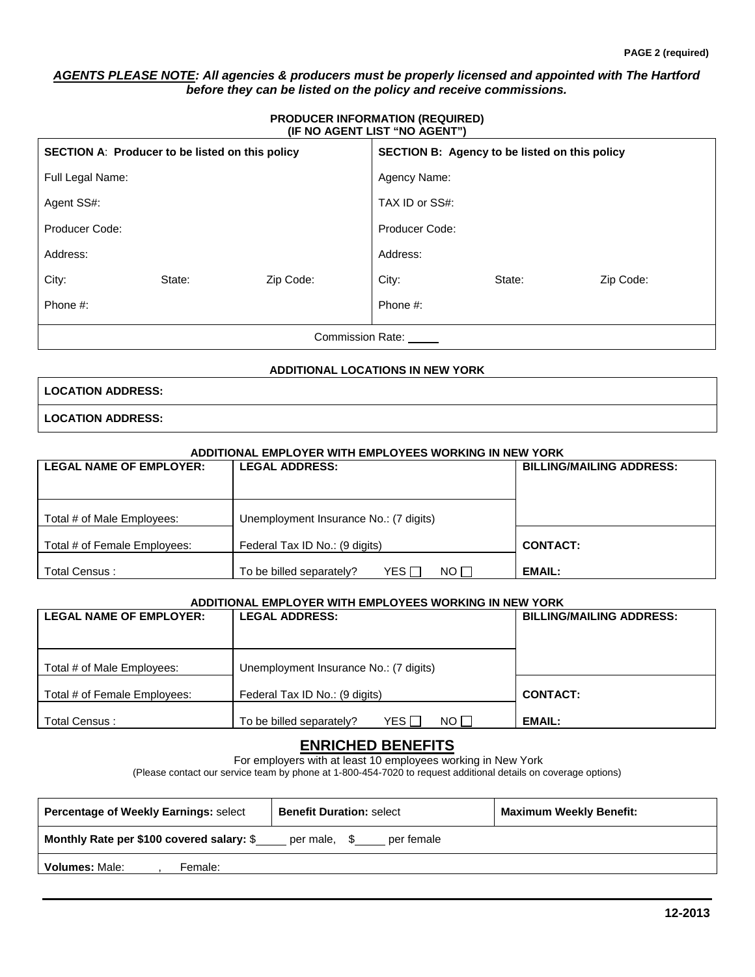## *AGENTS PLEASE NOTE: All agencies & producers must be properly licensed and appointed with The Hartford before they can be listed on the policy and receive commissions.*

#### **PRODUCER INFORMATION (REQUIRED) (IF NO AGENT LIST "NO AGENT")**

| SECTION A: Producer to be listed on this policy |        | SECTION B: Agency to be listed on this policy |                |        |           |
|-------------------------------------------------|--------|-----------------------------------------------|----------------|--------|-----------|
| Full Legal Name:                                |        |                                               | Agency Name:   |        |           |
| Agent SS#:                                      |        |                                               | TAX ID or SS#: |        |           |
| Producer Code:                                  |        |                                               | Producer Code: |        |           |
| Address:                                        |        |                                               | Address:       |        |           |
| City:                                           | State: | Zip Code:                                     | City:          | State: | Zip Code: |
| Phone #:                                        |        |                                               | Phone #:       |        |           |
| <b>Commission Rate:</b>                         |        |                                               |                |        |           |

### **ADDITIONAL LOCATIONS IN NEW YORK**

|  | <b>LOCATION ADDRESS:</b> |  |
|--|--------------------------|--|
|  |                          |  |

**LOCATION ADDRESS:** 

#### **ADDITIONAL EMPLOYER WITH EMPLOYEES WORKING IN NEW YORK**

| <b>LEGAL NAME OF EMPLOYER:</b>                                       | <b>LEGAL ADDRESS:</b>                                | <b>BILLING/MAILING ADDRESS:</b> |
|----------------------------------------------------------------------|------------------------------------------------------|---------------------------------|
| Unemployment Insurance No.: (7 digits)<br>Total # of Male Employees: |                                                      |                                 |
| Total # of Female Employees:<br>Federal Tax ID No.: (9 digits)       |                                                      | <b>CONTACT:</b>                 |
| Total Census:                                                        | YES I<br>NO <sub>1</sub><br>To be billed separately? | <b>EMAIL:</b>                   |

### **ADDITIONAL EMPLOYER WITH EMPLOYEES WORKING IN NEW YORK**

| <b>LEGAL NAME OF EMPLOYER:</b><br><b>LEGAL ADDRESS:</b> |                                             | <b>BILLING/MAILING ADDRESS:</b> |  |  |
|---------------------------------------------------------|---------------------------------------------|---------------------------------|--|--|
| Total # of Male Employees:                              | Unemployment Insurance No.: (7 digits)      |                                 |  |  |
| Total # of Female Employees:                            | Federal Tax ID No.: (9 digits)              | <b>CONTACT:</b>                 |  |  |
| Total Census:                                           | NO I I<br>YES I<br>To be billed separately? | EMAIL:                          |  |  |

## **ENRICHED BENEFITS**

For employers with at least 10 employees working in New York

(Please contact our service team by phone at 1-800-454-7020 to request additional details on coverage options)

| <b>Percentage of Weekly Earnings: select</b> | <b>Benefit Duration: select</b> | <b>Maximum Weekly Benefit:</b> |
|----------------------------------------------|---------------------------------|--------------------------------|
| Monthly Rate per \$100 covered salary: \$    | per male, \$<br>per female      |                                |
| <b>Volumes: Male:</b><br>Female:             |                                 |                                |